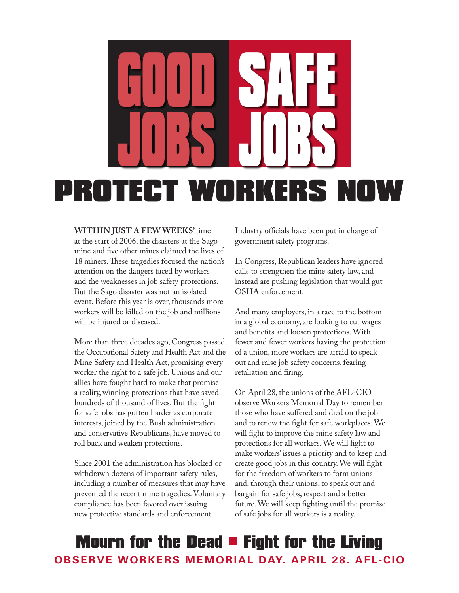

#### **Within just a few weeks'** time

at the start of 2006, the disasters at the Sago mine and five other mines claimed the lives of 18 miners. These tragedies focused the nation's attention on the dangers faced by workers and the weaknesses in job safety protections. But the Sago disaster was not an isolated event. Before this year is over, thousands more workers will be killed on the job and millions will be injured or diseased.

More than three decades ago, Congress passed the Occupational Safety and Health Act and the Mine Safety and Health Act, promising every worker the right to a safe job. Unions and our allies have fought hard to make that promise a reality, winning protections that have saved hundreds of thousand of lives. But the fight for safe jobs has gotten harder as corporate interests, joined by the Bush administration and conservative Republicans, have moved to roll back and weaken protections.

Since 2001 the administration has blocked or withdrawn dozens of important safety rules, including a number of measures that may have prevented the recent mine tragedies. Voluntary compliance has been favored over issuing new protective standards and enforcement.

Industry officials have been put in charge of government safety programs.

In Congress, Republican leaders have ignored calls to strengthen the mine safety law, and instead are pushing legislation that would gut OSHA enforcement.

And many employers, in a race to the bottom in a global economy, are looking to cut wages and benefits and loosen protections. With fewer and fewer workers having the protection of a union, more workers are afraid to speak out and raise job safety concerns, fearing retaliation and firing.

On April 28, the unions of the AFL-CIO observe Workers Memorial Day to remember those who have suffered and died on the job and to renew the fight for safe workplaces. We will fight to improve the mine safety law and protections for all workers. We will fight to make workers' issues a priority and to keep and create good jobs in this country. We will fight for the freedom of workers to form unions and, through their unions, to speak out and bargain for safe jobs, respect and a better future. We will keep fighting until the promise of safe jobs for all workers is a reality.

## **Mourn for the Dead**  $\blacksquare$  **Fight for the Living Observe Workers Memorial Day. April 28. AFL-CIO**